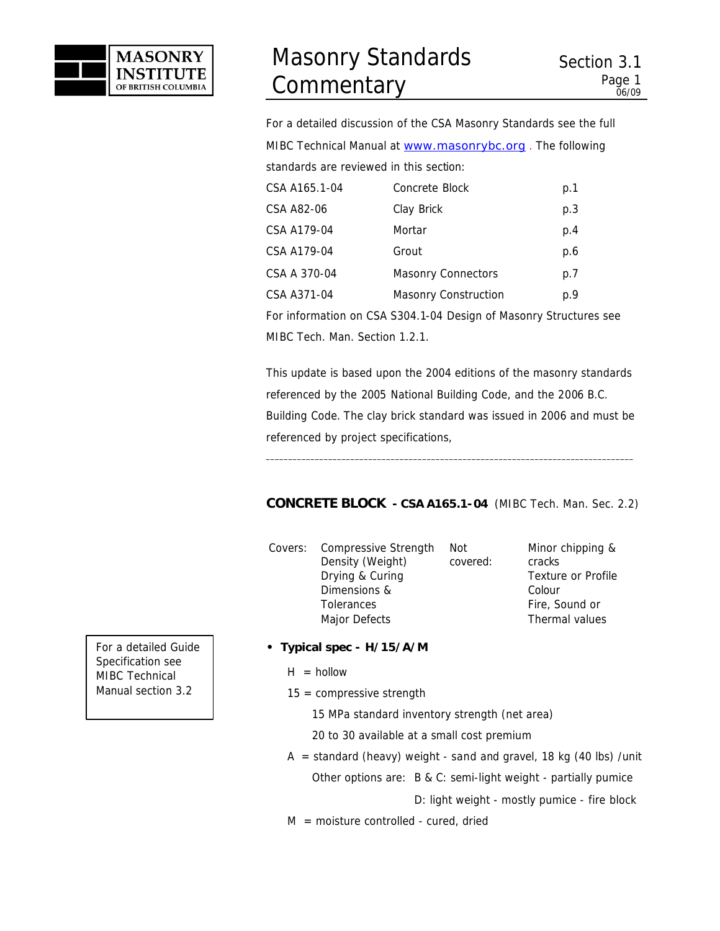

For a detailed discussion of the CSA Masonry Standards see the full MIBC Technical Manual at www.masonrybc.org. The following standards are reviewed in this section:

| CSA A165.1-04 | Concrete Block            | p.1 |
|---------------|---------------------------|-----|
| CSA A82-06    | Clay Brick                | p.3 |
| CSA A179-04   | Mortar                    | p.4 |
| CSA A179-04   | Grout                     | p.6 |
| CSA A 370-04  | <b>Masonry Connectors</b> | p.7 |
| CSA A371-04   | Masonry Construction      | p.9 |
|               |                           |     |

For information on CSA S304.1-04 Design of Masonry Structures see MIBC Tech. Man. *Section 1.2.1.*

This update is based upon the 2004 editions of the masonry standards referenced by the 2005 National Building Code, and the 2006 B.C. Building Code. The clay brick standard was issued in 2006 and must be referenced by project specifications,

\_\_\_\_\_\_\_\_\_\_\_\_\_\_\_\_\_\_\_\_\_\_\_\_\_\_\_\_\_\_\_\_\_\_\_\_\_\_\_\_\_\_\_\_\_\_\_\_\_\_\_\_\_\_\_\_\_\_\_\_\_\_\_\_\_\_\_\_\_\_\_\_\_\_\_\_\_\_\_\_\_\_

# *CONCRETE BLOCK* **- CSA A165.1-04** (MIBC Tech. Man. Sec. 2.2)

Covers: Compressive Strength Density (Weight) Drying & Curing Dimensions & **Tolerances** Major Defects Not covered:

Minor chipping & cracks Texture or Profile Colour Fire, Sound or Thermal values

- **Typical spec H/15/A/M**
	- $H = h$ ollow
	- $15 =$  compressive strength

15 MPa standard inventory strength (net area)

- 20 to 30 available at a small cost premium
- $A =$  standard (heavy) weight sand and gravel, 18 kg (40 lbs) /unit Other options are: B & C: semi-light weight - partially pumice

D: light weight - mostly pumice - fire block

 $M =$  moisture controlled - cured, dried

For a detailed Guide Specification see MIBC Technical Manual section 3.2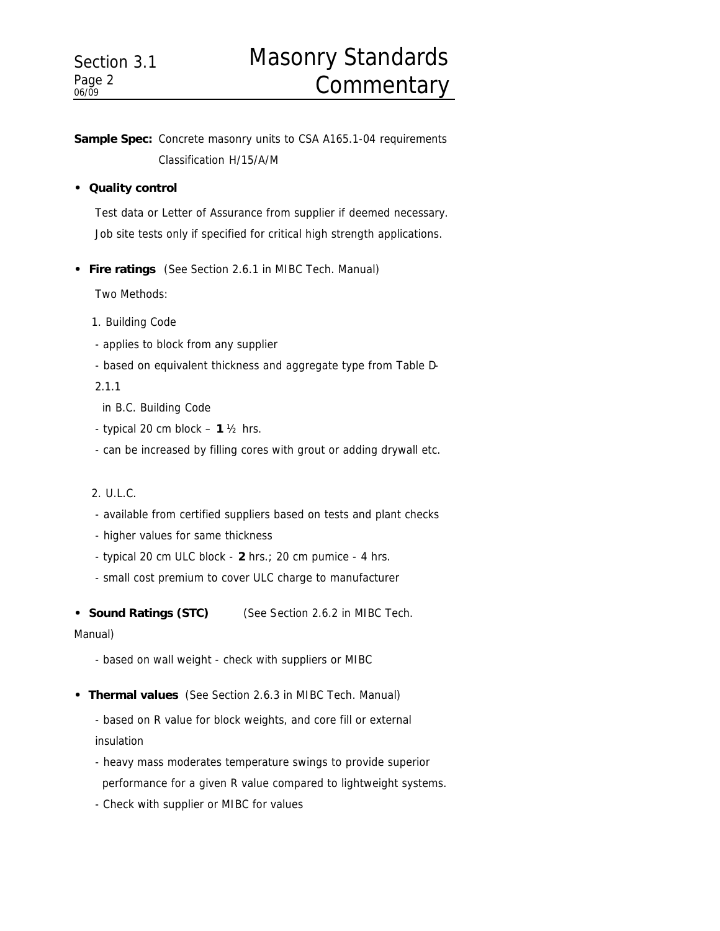# Masonry Standards **Commentary**

**Sample Spec:** Concrete masonry units to CSA A165.1-04 requirements Classification H/15/A/M

# **• Quality control**

Test data or Letter of Assurance from supplier if deemed necessary. Job site tests only if specified for critical high strength applications.

**• Fire ratings** (See Section 2.6.1 in MIBC Tech. Manual)

Two Methods:

- 1. Building Code
- applies to block from any supplier
- based on equivalent thickness and aggregate type from Table D-

2.1.1

- in B.C. Building Code
- typical 20 cm block **1** ½ hrs.
- can be increased by filling cores with grout or adding drywall etc.

# 2. U.L.C.

- available from certified suppliers based on tests and plant checks
- higher values for same thickness
- typical 20 cm ULC block **2** hrs.; 20 cm pumice 4 hrs.
- small cost premium to cover ULC charge to manufacturer
- **Sound Ratings (STC)** (See Section 2.6.2 in MIBC Tech.

# Manual)

- based on wall weight check with suppliers or MIBC
- **Thermal values** (See Section 2.6.3 in MIBC Tech. Manual)
	- based on R value for block weights, and core fill or external insulation
	- heavy mass moderates temperature swings to provide superior performance for a given R value compared to lightweight systems.
	- Check with supplier or MIBC for values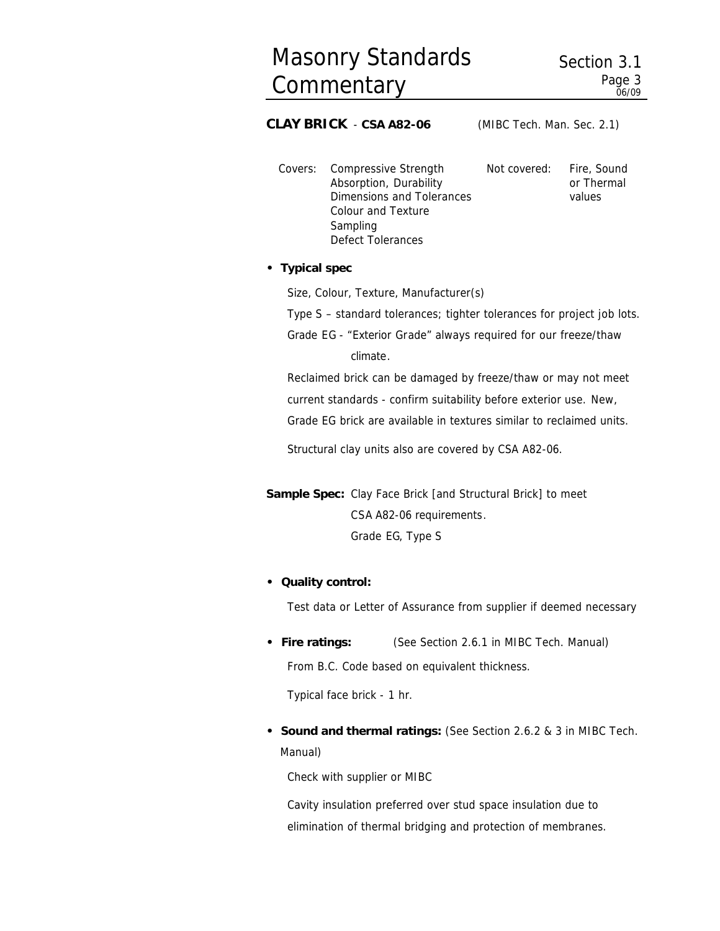or Thermal values

# *CLAY BRICK*- **CSA A82-06** (MIBC Tech. Man. Sec. 2.1)

Covers: Compressive Strength Absorption, Durability Dimensions and Tolerances Colour and Texture Sampling Defect Tolerances Not covered: Fire, Sound

### **• Typical spec**

Size, Colour, Texture, Manufacturer(s)

Type S – standard tolerances; tighter tolerances for project job lots.

Grade EG - "Exterior Grade" always required for our freeze/thaw climate.

Reclaimed brick can be damaged by freeze/thaw or may not meet current standards - confirm suitability before exterior use. New,

Grade EG brick are available in textures similar to reclaimed units.

Structural clay units also are covered by CSA A82-06.

**Sample Spec:** Clay Face Brick [and Structural Brick] to meet CSA A82-06 requirements. Grade EG, Type S

#### **• Quality control:**

Test data or Letter of Assurance from supplier if deemed necessary

**• Fire ratings:** (See Section 2.6.1 in MIBC Tech. Manual) From B.C. Code based on equivalent thickness.

Typical face brick - 1 hr.

**• Sound and thermal ratings:** (See Section 2.6.2 & 3 in MIBC Tech. Manual)

Check with supplier or MIBC

Cavity insulation preferred over stud space insulation due to elimination of thermal bridging and protection of membranes.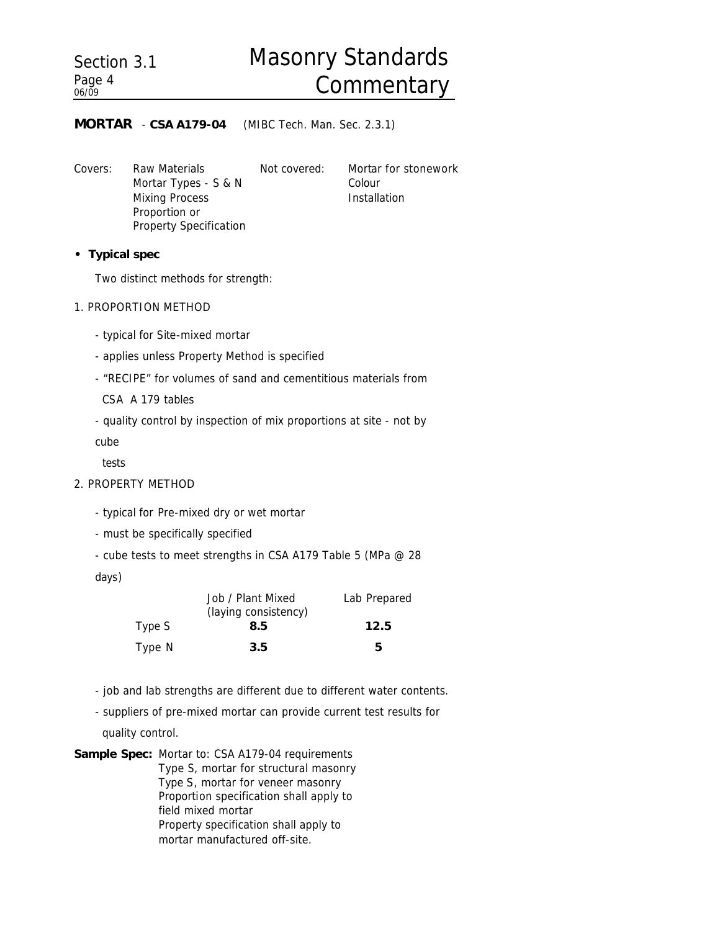# *MORTAR* - **CSA A179-04** (MIBC Tech. Man. Sec. 2.3.1)

Covers: Raw Materials Mortar Types - S & N Mixing Process Proportion or Property Specification

Not covered: Mortar for stonework Colour Installation

**• Typical spec**

Two distinct methods for strength:

1. PROPORTION METHOD

- typical for Site-mixed mortar

- applies unless Property Method is specified
- "RECIPE" for volumes of sand and cementitious materials from

CSA A 179 tables

- quality control by inspection of mix proportions at site - not by

cube

tests

#### 2. PROPERTY METHOD

- typical for Pre-mixed dry or wet mortar
- must be specifically specified
- cube tests to meet strengths in CSA A179 Table 5 (MPa @ 28

days)

|        | Job / Plant Mixed    | Lab Prepared |
|--------|----------------------|--------------|
|        | (laying consistency) |              |
| Type S | 8.5                  | 12.5         |
| Type N | 3.5                  | 5            |

- job and lab strengths are different due to different water contents.
- suppliers of pre-mixed mortar can provide current test results for

quality control.

**Sample Spec:** Mortar to: CSA A179-04 requirements Type S, mortar for structural masonry Type S, mortar for veneer masonry Proportion specification shall apply to field mixed mortar Property specification shall apply to mortar manufactured off-site.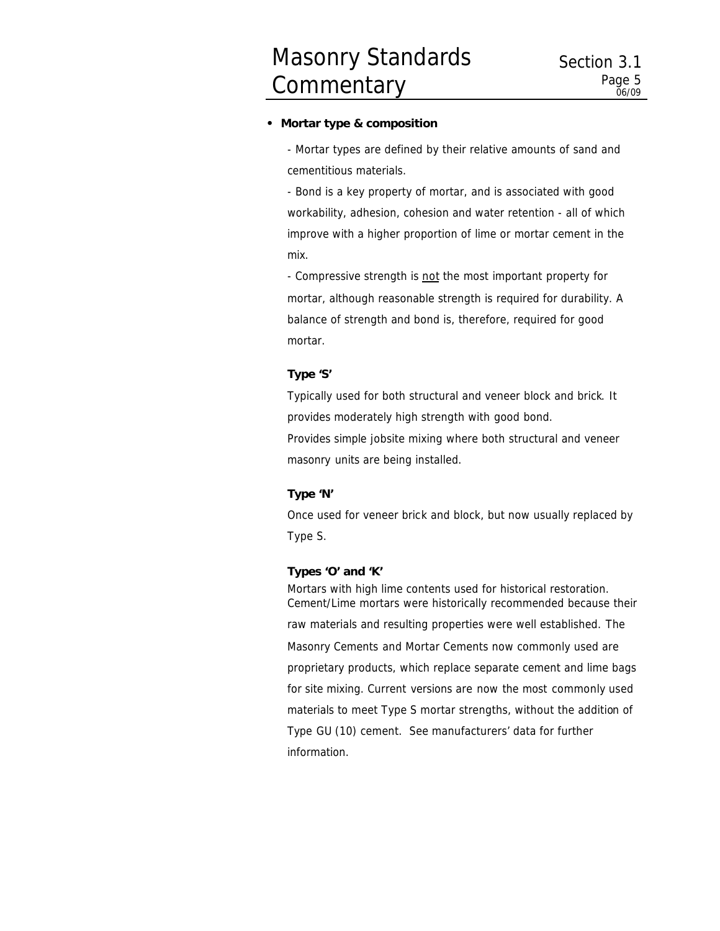#### **• Mortar type & composition**

- Mortar types are defined by their relative amounts of sand and cementitious materials.

- Bond is a key property of mortar, and is associated with good workability, adhesion, cohesion and water retention - all of which improve with a higher proportion of lime or mortar cement in the mix.

- Compressive strength is not the most important property for mortar, although reasonable strength is required for durability. A balance of strength and bond is, therefore, required for good mortar.

#### **Type 'S'**

Typically used for both structural and veneer block and brick. It provides moderately high strength with good bond. Provides simple jobsite mixing where both structural and veneer masonry units are being installed.

#### **Type 'N'**

Once used for veneer brick and block, but now usually replaced by Type S.

#### **Types 'O' and 'K'**

Mortars with high lime contents used for historical restoration. Cement/Lime mortars were historically recommended because their raw materials and resulting properties were well established. The Masonry Cements and Mortar Cements now commonly used are proprietary products, which replace separate cement and lime bags for site mixing. Current versions are now the most commonly used materials to meet Type S mortar strengths, without the addition of Type GU (10) cement. See manufacturers' data for further information.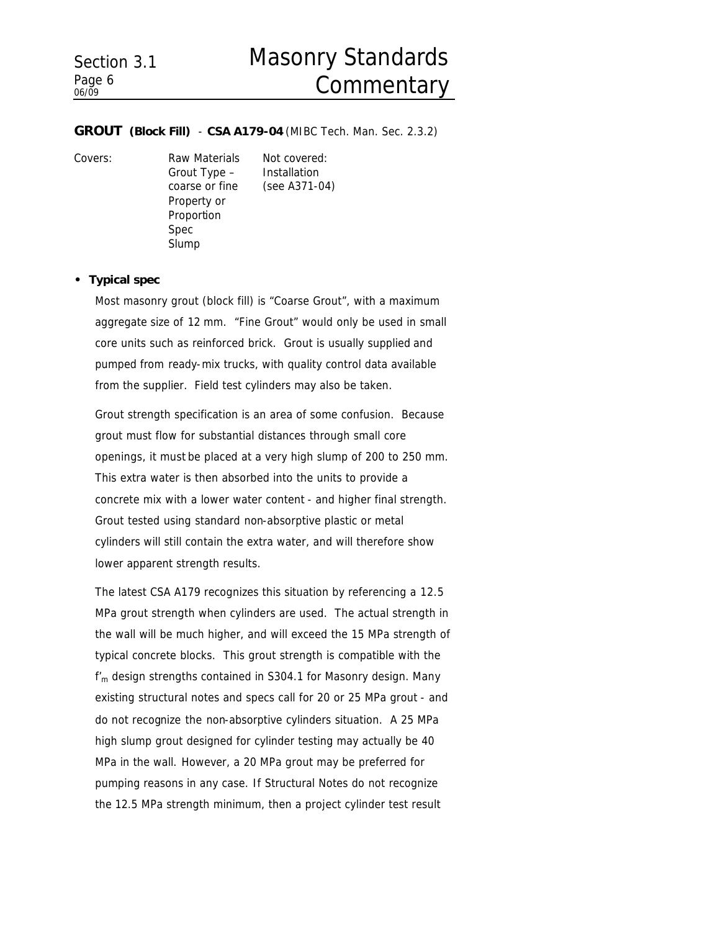# Masonry Standards **Commentary**

#### *GROUT (Block Fill)* - **CSA A179-04** (MIBC Tech. Man. Sec. 2.3.2)

Grout Type – coarse or fine Property or Proportion Spec Slump

Covers: Raw Materials Not covered: Installation (see A371-04)

#### **• Typical spec**

Most masonry grout (block fill) is "Coarse Grout", with a maximum aggregate size of 12 mm. "Fine Grout" would only be used in small core units such as reinforced brick. Grout is usually supplied and pumped from ready-mix trucks, with quality control data available from the supplier. Field test cylinders may also be taken.

Grout strength specification is an area of some confusion. Because grout must flow for substantial distances through small core openings, it must be placed at a very high slump of 200 to 250 mm. This extra water is then absorbed into the units to provide a concrete mix with a lower water content - and higher final strength. Grout tested using standard non-absorptive plastic or metal cylinders will still contain the extra water, and will therefore show lower apparent strength results.

The latest CSA A179 recognizes this situation by referencing a 12.5 MPa grout strength when cylinders are used. The actual strength in the wall will be much higher, and will exceed the 15 MPa strength of typical concrete blocks. This grout strength is compatible with the  $f'_m$  design strengths contained in S304.1 for Masonry design. Many existing structural notes and specs call for 20 or 25 MPa grout - and do not recognize the non-absorptive cylinders situation. A 25 MPa high slump grout designed for cylinder testing may actually be 40 MPa in the wall. However, a 20 MPa grout may be preferred for pumping reasons in any case. If Structural Notes do not recognize the 12.5 MPa strength minimum, then a project cylinder test result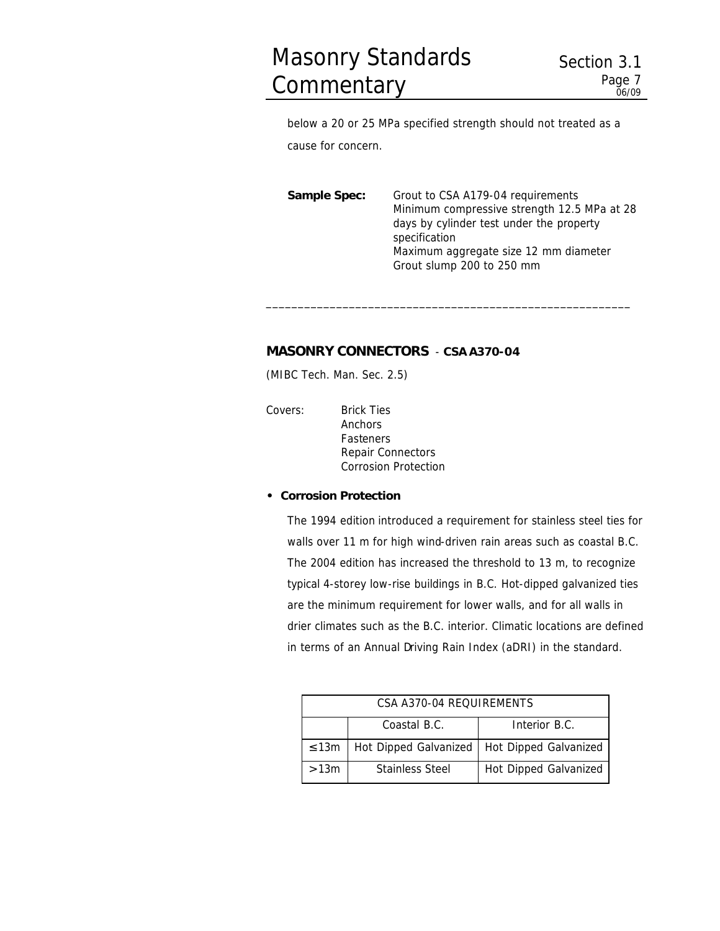below a 20 or 25 MPa specified strength should not treated as a cause for concern.

**Sample Spec:** Grout to CSA A179-04 requirements Minimum compressive strength 12.5 MPa at 28 days by cylinder test under the property specification Maximum aggregate size 12 mm diameter Grout slump 200 to 250 mm

\_\_\_\_\_\_\_\_\_\_\_\_\_\_\_\_\_\_\_\_\_\_\_\_\_\_\_\_\_\_\_\_\_\_\_\_\_\_\_\_\_\_\_\_\_\_\_\_\_\_\_\_\_\_\_\_\_

# *MASONRY CONNECTORS* - **CSA A370-04**

(MIBC Tech. Man. Sec. 2.5)

Covers: Brick Ties Anchors Fasteners Repair Connectors Corrosion Protection

# **• Corrosion Protection**

The 1994 edition introduced a requirement for stainless steel ties for walls over 11 m for high wind-driven rain areas such as coastal B.C. The 2004 edition has increased the threshold to 13 m, to recognize typical 4-storey low-rise buildings in B.C. Hot-dipped galvanized ties are the minimum requirement for lower walls, and for all walls in drier climates such as the B.C. interior. Climatic locations are defined in terms of an Annual Driving Rain Index (aDRI) in the standard.

| CSA A370-04 REOUIREMENTS |                        |                                               |  |  |
|--------------------------|------------------------|-----------------------------------------------|--|--|
|                          | Coastal B.C.           | Interior B.C.                                 |  |  |
| $\leq$ 13m               |                        | Hot Dipped Galvanized   Hot Dipped Galvanized |  |  |
| >13m                     | <b>Stainless Steel</b> | Hot Dipped Galvanized                         |  |  |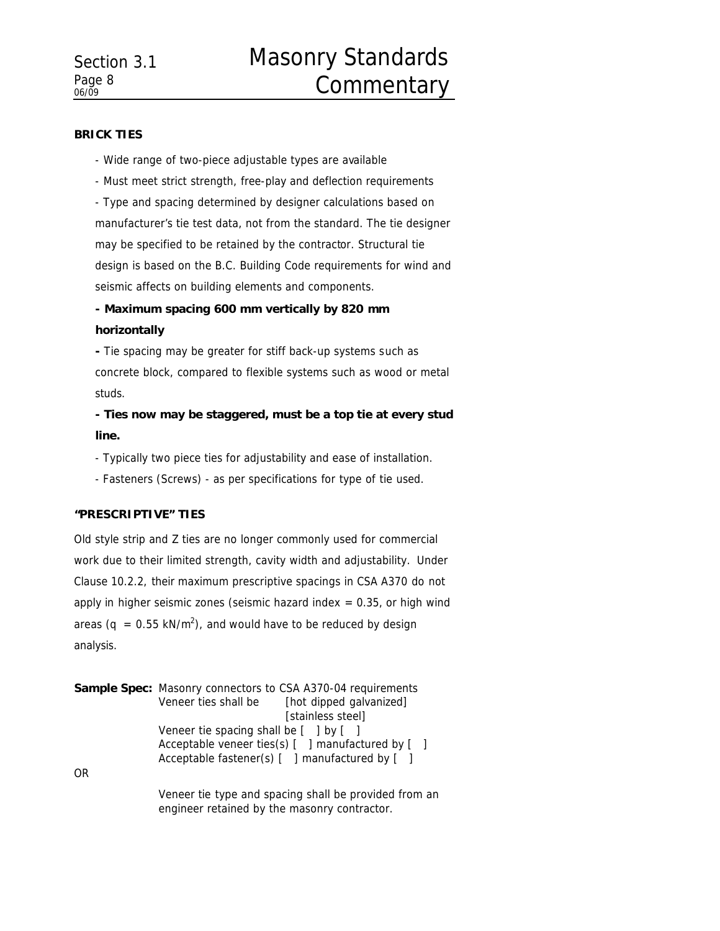#### **BRICK TIES**

- Wide range of two-piece adjustable types are available

- Must meet strict strength, free-play and deflection requirements - Type and spacing determined by designer calculations based on manufacturer's tie test data, not from the standard. The tie designer may be specified to be retained by the contractor. Structural tie design is based on the B.C. Building Code requirements for wind and seismic affects on building elements and components.

# **- Maximum spacing 600 mm vertically by 820 mm horizontally**

**-** Tie spacing may be greater for stiff back-up systems such as concrete block, compared to flexible systems such as wood or metal studs.

**- Ties now may be staggered, must be a top tie at every stud line.**

- Typically two piece ties for adjustability and ease of installation.

- Fasteners (Screws) - as per specifications for type of tie used.

# **"PRESCRIPTIVE" TIES**

Old style strip and Z ties are no longer commonly used for commercial work due to their limited strength, cavity width and adjustability. Under Clause 10.2.2, their maximum prescriptive spacings in CSA A370 do not apply in higher seismic zones (seismic hazard index  $= 0.35$ , or high wind areas (q = 0.55 kN/m<sup>2</sup>), and would have to be reduced by design analysis.

|                | <b>Sample Spec:</b> Masonry connectors to CSA A370-04 requirements |                                                |  |
|----------------|--------------------------------------------------------------------|------------------------------------------------|--|
|                |                                                                    | Veneer ties shall be [hot dipped galvanized]   |  |
|                |                                                                    | [stainless steel]                              |  |
|                | Veneer tie spacing shall be $[$ ] by $[$ ]                         |                                                |  |
|                | Acceptable veneer ties(s) [ ] manufactured by [ ]                  |                                                |  |
|                |                                                                    | Acceptable fastener(s) [ ] manufactured by [ ] |  |
| 0 <sub>R</sub> |                                                                    |                                                |  |

Veneer tie type and spacing shall be provided from an engineer retained by the masonry contractor.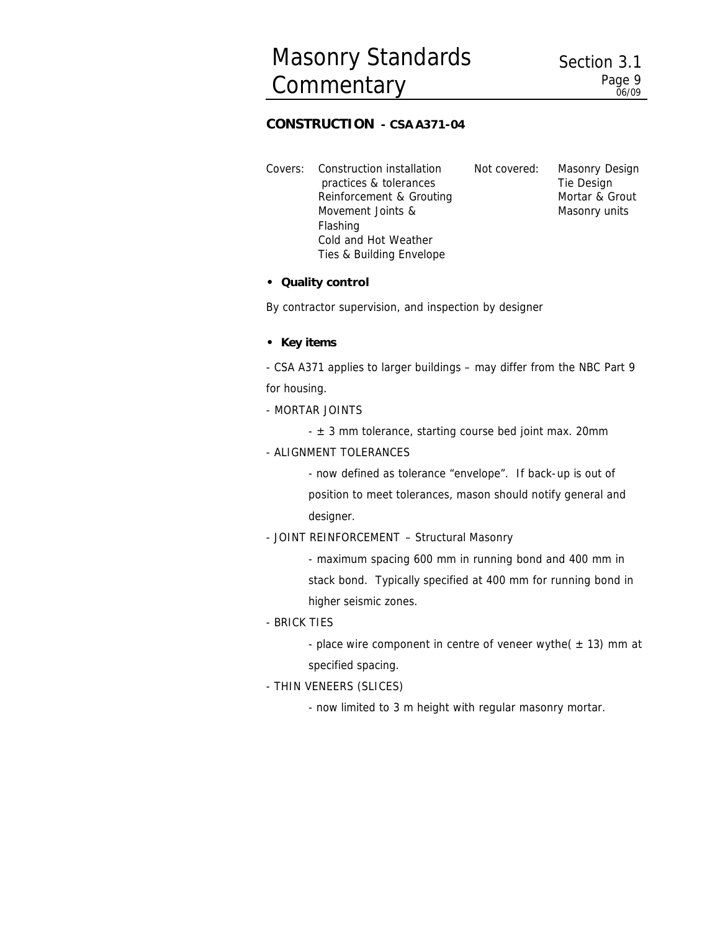# *CONSTRUCTION* **- CSA A371-04**

Covers: Construction installation practices & tolerances Reinforcement & Grouting Movement Joints & Flashing Cold and Hot Weather Ties & Building Envelope Not covered: Masonry Design Tie Design Mortar & Grout Masonry units

#### **• Quality control**

By contractor supervision, and inspection by designer

#### **• Key items**

- CSA A371 applies to larger buildings – may differ from the NBC Part 9 for housing.

#### - MORTAR JOINTS

 $\pm$  3 mm tolerance, starting course bed joint max. 20mm

#### - ALIGNMENT TOLERANCES

- now defined as tolerance "envelope". If back-up is out of position to meet tolerances, mason should notify general and designer.

#### - JOINT REINFORCEMENT – Structural Masonry

- maximum spacing 600 mm in running bond and 400 mm in stack bond. Typically specified at 400 mm for running bond in higher seismic zones.

#### - BRICK TIES

- place wire component in centre of veneer wythe( $\pm$  13) mm at specified spacing.

### - THIN VENEERS (SLICES)

- now limited to 3 m height with regular masonry mortar.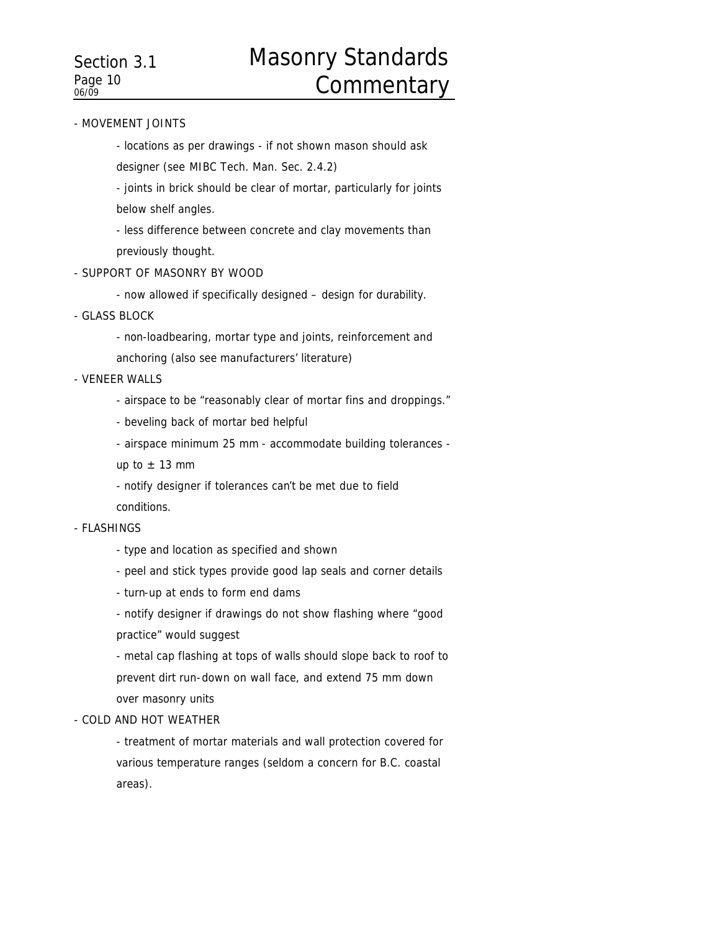#### - MOVEMENT JOINTS

- locations as per drawings - if not shown mason should ask

designer (see MIBC Tech. Man. Sec. 2.4.2)

- joints in brick should be clear of mortar, particularly for joints below shelf angles.

- less difference between concrete and clay movements than previously thought.

#### - SUPPORT OF MASONRY BY WOOD

- now allowed if specifically designed – design for durability.

- GLASS BLOCK
	- non-loadbearing, mortar type and joints, reinforcement and
	- anchoring (also see manufacturers' literature)

#### - VENEER WALLS

- airspace to be "reasonably clear of mortar fins and droppings."
- beveling back of mortar bed helpful
- airspace minimum 25 mm accommodate building tolerances -

up to  $\pm$  13 mm

- notify designer if tolerances can't be met due to field
- conditions.

#### - FLASHINGS

- type and location as specified and shown
- peel and stick types provide good lap seals and corner details
- turn-up at ends to form end dams

- notify designer if drawings do not show flashing where "good practice" would suggest

- metal cap flashing at tops of walls should slope back to roof to prevent dirt run-down on wall face, and extend 75 mm down over masonry units

#### - COLD AND HOT WEATHER

- treatment of mortar materials and wall protection covered for various temperature ranges (seldom a concern for B.C. coastal areas).